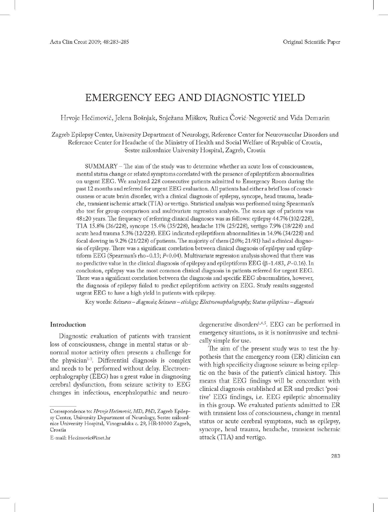# EMERGENCY EEG AND DIAGNOSTIC YIELD

Hrvoje Hećimović, Jelena Bošnjak, Snježana Miškov, Ružica Čović-Negovetić and Vida Demarin

Zagreb Epilepsy Center, University Department of Neurology, Reference Center for Neurovascular Disorders and Reference Center for Headache of the Ministry of Health and Social Welfare of Republic of Croatia, Sestre milosrdnice University Hospital, Zagreb, Croatia

SUMMARY - The aim of the study was to determine whether an acute loss of consciousness, mental status change or related symptoms correlated with the presence ofepileptiform abnormalities on urgent EEG. We analyzed 228 consecutive patients admitted to Emergency Room during the past 12 months and referred for urgent EEG evaluation. All patients had either a briefloss ofconsciousness or acute brain disorder, with a clinical diagnosis of epilepsy, syncope, head trauma, headache, transient ischemic attack (TIA) or vertigo. Statistical analysis was performed using Spearman's rho test for group comparison and multivariate regression analysis. The mean age of patients was  $48\pm20$  years. The frequency of referring clinical diagnoses was as follows: epilepsy  $44.7\%$  (102/228), TIA 15.8% (36/228), syncope 15.4% (35/228), headache 11% (25/228), vertigo 7.9% (18/228) and acute head trauma 5.3% (12/228). EEG indicated epileptiform abnormalities in 14.9%(34/228) and focal slowing in 9.2% (21/228) of patients. The majority of them (26%; 21/81) had a clinical diagnosis ofepilepsy. There was a significant correlation between clinical diagnosis of epilepsy and epileptiform EEG (Spearman's rho=0.13;  $P<sub>0.04</sub>$ ). Multivariate regression analysis showed that there was no predictive value in the clinical diagnosis of epilepsy and epileptiform  $EEG$  ( $\beta$ =1.483,  $P=0.16$ ). In conclusion, epilepsy was the most common clinical diagnosis in patients referred for urgent EEG. There was a significant correlation between the diagnosis and specific EEG abnormalities, however, the diagnosis of epilepsy failed to predict epileptiform activity on EEG. Study results suggested urgent EEG to have a high yield in patients with epilepsy.

Key words: *Seirures-:diagnosis; Seizures*- *etiology; Electroencephalography; Status epilepticus*- *diagnosis*

# Introduction

Diagnostic evaluation of patients with transient loss of consciousness, change in mental status or abnormal motor activity often presents a challenge for the physician<sup>1-3</sup>. Differential diagnosis is complex and needs to be performed without delay. Electroencephalography (EEG) has a great value in diagnosing cerebral dysfunction, from seizure activity to EEG changes in infectious, encephalopathic and neuro-

E-mail: Hecimovic@inet.hr

degenerative disorders $^{1,4,5}$ . EEG can be performed in emergency situations, as it is noninvasive and technically simple for use.

The aim of the present study was to test the hypothesis that the emergency room (ER) clinician can with high specificity diagnose seizure as being epileptic on the basis of the patient's clinical history. This means that EEG findings will be concordant with clinical diagnosis established at ER and predict 'positive' EEG findings, i.e. EEG epileptic abnormality in this group. We evaluated patients admitted to ER with transient loss of consciousness, change in mental status or acute cerebral symptoms, such as epilepsy, syncope, head trauma, headache, transient ischemic attack (TIA) and vertigo.

Correspondence to: *HroojeHeomooic, MD, PhD,* Zagreb Epilepsy Center, University Department of Neurology, Sestre milosrdnice University Hospital, Vinogradska c. 29, HR-l0000 Zagreb, Croatia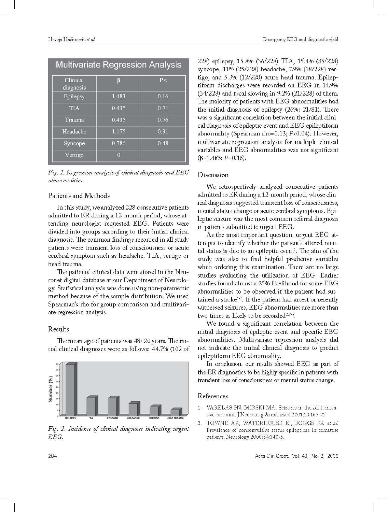# Multivariate Regression Analysis

| Clinical<br>diagnosis | R     | P<   |
|-----------------------|-------|------|
| Epilepsy              | 1.483 | 0.16 |
| <b>TIA</b>            | 0.435 | 0.71 |
| Trauma                | 0.435 | 0.76 |
| Headache              | 1.175 | 0.31 |
| Syncope               | 0.786 | 0.48 |
| Vertigo               | 0     |      |

*Fig.* 1. *Regression analysis* cf*clinical diagnosis andEEG abnormalities.*

# Patients and Methods

In this study, we analyzed 228 consecutive patients admitted to ER during a 12-month period, whose attending neurologist requested EEG. Patients were divided into groups according to their initial clinical diagnosis. The common findings recorded in all study patients were transient loss of consciousness or acute cerebral symptom such as headache, TIA, vertigo or head trauma.

The patients' clinical data were stored in the Neuronet digital database at our Department of Neurology. Statistical analysis was done using non-parametric method because of the sample distribution. We used Spearman's rho for group comparison and multivariate regression analysis.

#### Results

The mean age of patients was 48±20 years. The initial clinical diagnoses were as follows: 44.7% (102 of



-- -- *Fig.* 2. *Incidence* cf*clinical diagnoses indicating urgent* EEG.

228) epilepsy, 15.8% (36/228) TIA, 15.4% (35/228) syncope, 11% (25/228) headache, 7.9% (18/228) vertigo, and 5.3% (12/228) acute head trauma. Epileptiform discharges were recorded on EEG in 14.9% (34/228) and focal slowing in 9.2% (21/228) of them. The majority of patients with EEG abnormalities had the initial diagnosis of epilepsy (26%; 21/81). There was a significant correlation between the initial clinical diagnosis of epileptic event and EEG epileptiform abnormality (Spearman rho=0.13;  $P<sub>0.04</sub>$ ). However, multivariate regression analysis for multiple clinical variables and EEG abnormalities was not significant  $(\beta=1.483; P=0.16).$ 

# Discussion

We retrospectively analyzed consecutive patients admitted to ER during a 12-month period, whose clinical diagnosis suggested transient loss of consciousness, mental status change or acute cerebral symptoms. Epileptic seizure was the most common referral diagnosis in patients submitted to urgent EEG.

As the most important question, urgent EEG attempts to identify whether the patient's altered mental status is due to an epileptic event'. The aim of the study was also to find helpful predictive variables when ordering this examination. There are no large studies evaluating the utilization of EEG. Earlier studies found almost a 25% likelihood for some EEG abnormalities to be observed if the patient had sustained a stroke<sup>4-7</sup>. If the patient had arrest or recently witnessed seizures, EEG abnormalities are more than two times as likely to be recorded<sup>2,7-9</sup>.

We found a significant correlation between the initial diagnosis of epileptic event and specific EEG abnormalities. Multivariate regression analysis did not indicate the initial clinical diagnosis to predict epileptiform EEG abnormality.

In conclusion, our results showed EEG as part of the ER diagnostics to be highly specificin patients with transient loss of consciousness or mental status change.

# References

- 1. VARELAS PN, MIRSKI MA. Seizures in the adult intensive care unit. J Neurosurg Anesthesiol 2001;13:163-75,
- 2. TOWNE AR, WATERHOUSE EJ, BOGGS JG, et al. Prevalence of nonconvulsive status epilepticus in comatose patients, Neurology 2000;54:340-5,